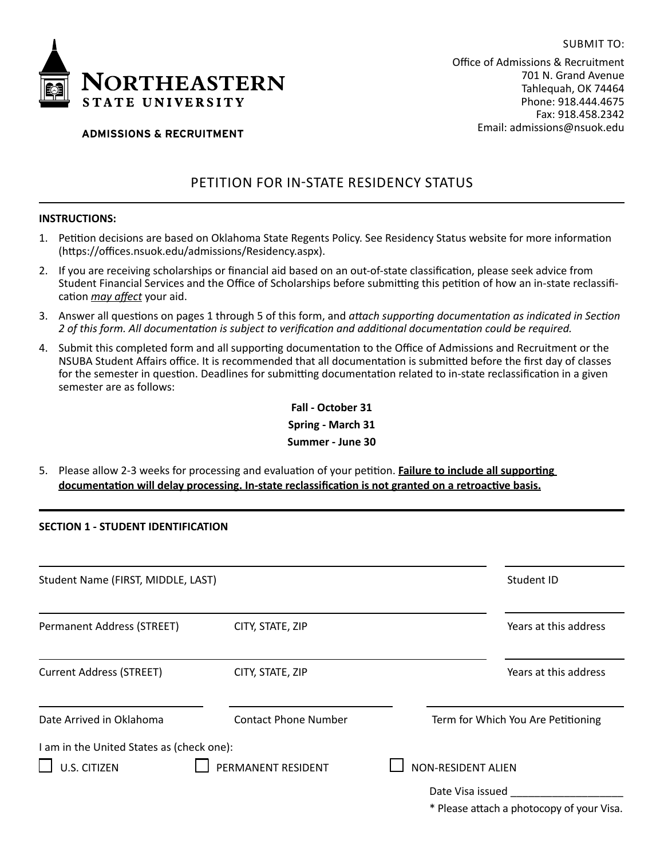

Office of Admissions & Recruitment 701 N. Grand Avenue Tahlequah, OK 74464 Phone: 918.444.4675 Fax: 918.458.2342 Email: admissions@nsuok.edu

SUBMIT TO:

# **ADMISSIONS & RECRUITMENT**

# PETITION FOR IN-STATE RESIDENCY STATUS

## **INSTRUCTIONS:**

- 1. Petition decisions are based on Oklahoma State Regents Policy. See [Residency Status](https://offices.nsuok.edu/admissions/Residency.aspx) website for more information (https://offices.nsuok.edu/admissions/Residency.aspx).
- 2. If you are receiving scholarships or financial aid based on an out-of-state classification, please seek advice from Student Financial Services and the Office of Scholarships before submitting this petition of how an in-state reclassification *may affect* your aid.
- 3. Answer all questions on pages 1 through 5 of this form, and *attach supporting documentation as indicated in Section 2 of this form. All documentation is subject to verification and additional documentation could be required.*
- 4. Submit this completed form and all supporting documentation to the Office of Admissions and Recruitment or the NSUBA Student Affairs office. It is recommended that all documentation is submitted before the first day of classes for the semester in question. Deadlines for submitting documentation related to in-state reclassification in a given semester are as follows:

**Fall - October 31 Spring - March 31 Summer - June 30**

5. Please allow 2-3 weeks for processing and evaluation of your petition. **Failure to include all supporting documentation will delay processing. In-state reclassification is not granted on a retroactive basis.**

### **SECTION 1 - STUDENT IDENTIFICATION**

| Student Name (FIRST, MIDDLE, LAST)                               |                             | Student ID                                                    |
|------------------------------------------------------------------|-----------------------------|---------------------------------------------------------------|
| Permanent Address (STREET)                                       | CITY, STATE, ZIP            | Years at this address                                         |
| <b>Current Address (STREET)</b>                                  | CITY, STATE, ZIP            | Years at this address                                         |
| Date Arrived in Oklahoma                                         | <b>Contact Phone Number</b> | Term for Which You Are Petitioning                            |
| I am in the United States as (check one):<br><b>U.S. CITIZEN</b> | PERMANENT RESIDENT          | <b>NON-RESIDENT ALIEN</b>                                     |
|                                                                  |                             | Date Visa issued<br>* Please attach a photocopy of your Visa. |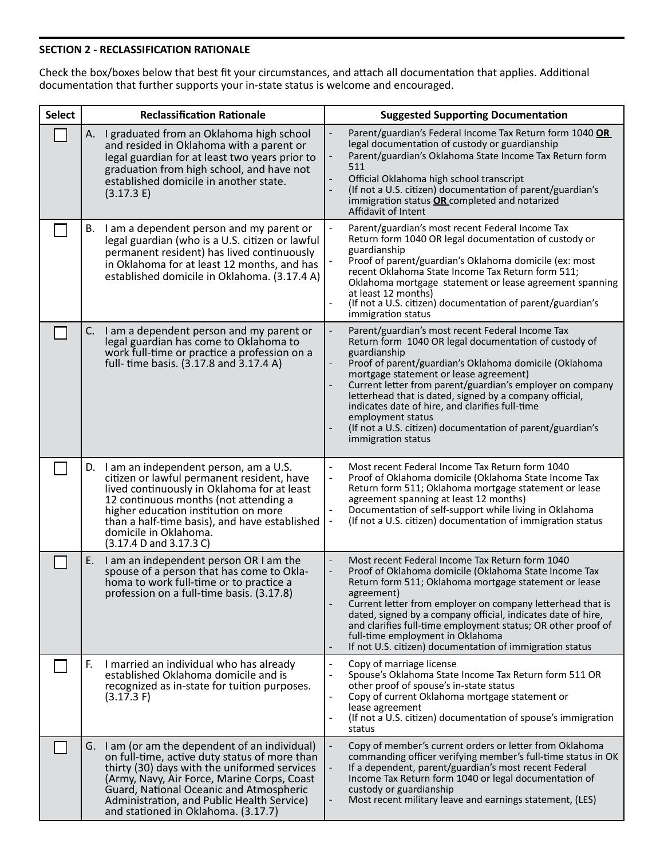# **SECTION 2 - RECLASSIFICATION RATIONALE**

Check the box/boxes below that best fit your circumstances, and attach all documentation that applies. Additional documentation that further supports your in-state status is welcome and encouraged.

| <b>Select</b> |    | <b>Reclassification Rationale</b>                                                                                                                                                                                                                                                                                              |                          | <b>Suggested Supporting Documentation</b>                                                                                                                                                                                                                                                                                                                                                                                                                                                                         |
|---------------|----|--------------------------------------------------------------------------------------------------------------------------------------------------------------------------------------------------------------------------------------------------------------------------------------------------------------------------------|--------------------------|-------------------------------------------------------------------------------------------------------------------------------------------------------------------------------------------------------------------------------------------------------------------------------------------------------------------------------------------------------------------------------------------------------------------------------------------------------------------------------------------------------------------|
|               |    | A. I graduated from an Oklahoma high school<br>and resided in Oklahoma with a parent or<br>legal guardian for at least two years prior to<br>graduation from high school, and have not<br>established domicile in another state.<br>(3.17.3 E)                                                                                 |                          | Parent/guardian's Federal Income Tax Return form 1040 OR<br>legal documentation of custody or guardianship<br>Parent/guardian's Oklahoma State Income Tax Return form<br>511<br>Official Oklahoma high school transcript<br>(If not a U.S. citizen) documentation of parent/guardian's<br>immigration status OR completed and notarized<br>Affidavit of Intent                                                                                                                                                    |
|               | В. | I am a dependent person and my parent or<br>legal guardian (who is a U.S. citizen or lawful<br>permanent resident) has lived continuously<br>in Oklahoma for at least 12 months, and has<br>established domicile in Oklahoma. (3.17.4 A)                                                                                       |                          | Parent/guardian's most recent Federal Income Tax<br>Return form 1040 OR legal documentation of custody or<br>guardianship<br>Proof of parent/guardian's Oklahoma domicile (ex: most<br>recent Oklahoma State Income Tax Return form 511;<br>Oklahoma mortgage statement or lease agreement spanning<br>at least 12 months)<br>(If not a U.S. citizen) documentation of parent/guardian's<br>immigration status                                                                                                    |
|               | C. | I am a dependent person and my parent or<br>legal guardian has come to Oklahoma to<br>work full-time or practice a profession on a<br>full- time basis. (3.17.8 and 3.17.4 A)                                                                                                                                                  |                          | Parent/guardian's most recent Federal Income Tax<br>Return form 1040 OR legal documentation of custody of<br>guardianship<br>Proof of parent/guardian's Oklahoma domicile (Oklahoma<br>mortgage statement or lease agreement)<br>Current letter from parent/guardian's employer on company<br>letterhead that is dated, signed by a company official,<br>indicates date of hire, and clarifies full-time<br>employment status<br>(If not a U.S. citizen) documentation of parent/guardian's<br>immigration status |
|               |    | D. I am an independent person, am a U.S.<br>citizen or lawful permanent resident, have<br>lived continuously in Oklahoma for at least<br>12 continuous months (not attending a<br>higher education institution on more<br>than a half-time basis), and have established<br>domicile in Oklahoma.<br>(3.17.4 D and 3.17.3 C)    | $\overline{\phantom{a}}$ | Most recent Federal Income Tax Return form 1040<br>Proof of Oklahoma domicile (Oklahoma State Income Tax<br>Return form 511; Oklahoma mortgage statement or lease<br>agreement spanning at least 12 months)<br>Documentation of self-support while living in Oklahoma<br>(If not a U.S. citizen) documentation of immigration status                                                                                                                                                                              |
|               | Ε. | I am an independent person OR I am the<br>spouse of a person that has come to Okla-<br>homa to work full-time or to practice a<br>profession on a full-time basis. (3.17.8)                                                                                                                                                    |                          | Most recent Federal Income Tax Return form 1040<br>Proof of Oklahoma domicile (Oklahoma State Income Tax<br>Return form 511; Oklahoma mortgage statement or lease<br>agreement)<br>Current letter from employer on company letterhead that is<br>dated, signed by a company official, indicates date of hire,<br>and clarifies full-time employment status; OR other proof of<br>full-time employment in Oklahoma<br>If not U.S. citizen) documentation of immigration status                                     |
|               | F. | I married an individual who has already<br>established Oklahoma domicile and is<br>recognized as in-state for tuition purposes.<br>$(3.17.3)$ F)                                                                                                                                                                               | $\overline{\phantom{a}}$ | Copy of marriage license<br>Spouse's Oklahoma State Income Tax Return form 511 OR<br>other proof of spouse's in-state status<br>Copy of current Oklahoma mortgage statement or<br>lease agreement<br>(If not a U.S. citizen) documentation of spouse's immigration<br>status                                                                                                                                                                                                                                      |
|               |    | G. I am (or am the dependent of an individual)<br>on full-time, active duty status of more than<br>thirty (30) days with the uniformed services<br>(Army, Navy, Air Force, Marine Corps, Coast<br>Guard, National Oceanic and Atmospheric<br>Administration, and Public Health Service)<br>and stationed in Oklahoma. (3.17.7) |                          | Copy of member's current orders or letter from Oklahoma<br>commanding officer verifying member's full-time status in OK<br>If a dependent, parent/guardian's most recent Federal<br>Income Tax Return form 1040 or legal documentation of<br>custody or guardianship<br>Most recent military leave and earnings statement, (LES)                                                                                                                                                                                  |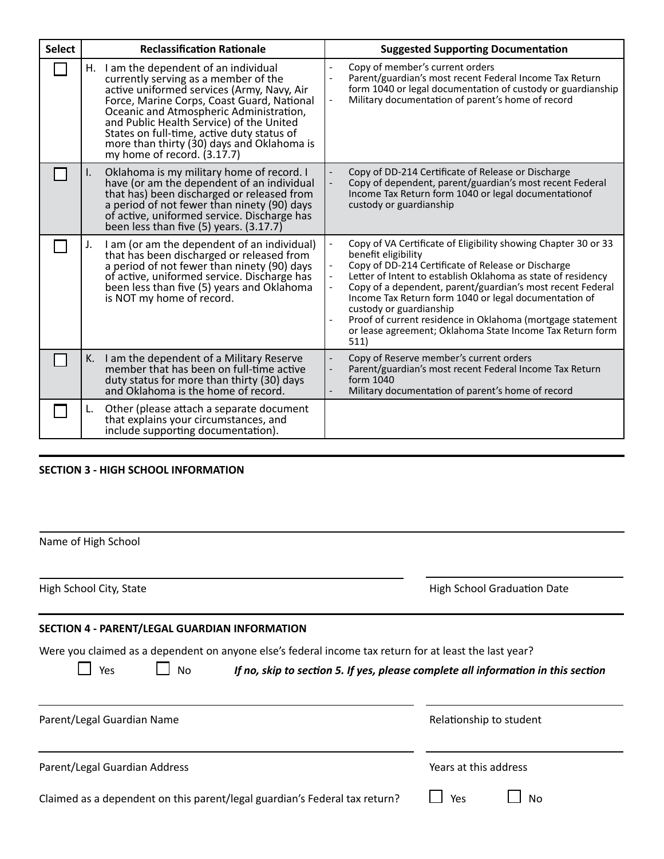| <b>Select</b> | <b>Reclassification Rationale</b>                                                                                                                                                                                                                                                                                                                                                                 | <b>Suggested Supporting Documentation</b>                                                                                                                                                                                                                                                                                                                                                                                                                                                                                    |  |  |
|---------------|---------------------------------------------------------------------------------------------------------------------------------------------------------------------------------------------------------------------------------------------------------------------------------------------------------------------------------------------------------------------------------------------------|------------------------------------------------------------------------------------------------------------------------------------------------------------------------------------------------------------------------------------------------------------------------------------------------------------------------------------------------------------------------------------------------------------------------------------------------------------------------------------------------------------------------------|--|--|
|               | I am the dependent of an individual<br>Н.<br>currently serving as a member of the<br>active uniformed services (Army, Navy, Air<br>Force, Marine Corps, Coast Guard, National<br>Oceanic and Atmospheric Administration,<br>and Public Health Service) of the United<br>States on full-time, active duty status of<br>more than thirty (30) days and Oklahoma is<br>my home of record. $(3.17.7)$ | Copy of member's current orders<br>Parent/guardian's most recent Federal Income Tax Return<br>form 1040 or legal documentation of custody or guardianship<br>Military documentation of parent's home of record<br>$\overline{\phantom{a}}$                                                                                                                                                                                                                                                                                   |  |  |
|               | Oklahoma is my military home of record. I<br>I.<br>have (or am the dependent of an individual<br>that has) been discharged or released from<br>a period of not fewer than ninety (90) days<br>of active, uniformed service. Discharge has<br>been less than five $(5)$ years. $(3.17.7)$                                                                                                          | Copy of DD-214 Certificate of Release or Discharge<br>Copy of dependent, parent/guardian's most recent Federal<br>Income Tax Return form 1040 or legal documentation of<br>custody or guardianship                                                                                                                                                                                                                                                                                                                           |  |  |
|               | I am (or am the dependent of an individual)<br>J.<br>that has been discharged or released from<br>a period of not fewer than ninety (90) days<br>of active, uniformed service. Discharge has<br>been less than five (5) years and Oklahoma<br>is NOT my home of record.                                                                                                                           | Copy of VA Certificate of Eligibility showing Chapter 30 or 33<br>benefit eligibility<br>Copy of DD-214 Certificate of Release or Discharge<br>Letter of Intent to establish Oklahoma as state of residency<br>Copy of a dependent, parent/guardian's most recent Federal<br>Income Tax Return form 1040 or legal documentation of<br>custody or guardianship<br>Proof of current residence in Oklahoma (mortgage statement<br>$\overline{\phantom{a}}$<br>or lease agreement; Oklahoma State Income Tax Return form<br>511) |  |  |
|               | I am the dependent of a Military Reserve<br>К.<br>member that has been on full-time active<br>duty status for more than thirty (30) days<br>and Oklahoma is the home of record.                                                                                                                                                                                                                   | Copy of Reserve member's current orders<br>$\overline{\phantom{a}}$<br>Parent/guardian's most recent Federal Income Tax Return<br>form 1040<br>Military documentation of parent's home of record                                                                                                                                                                                                                                                                                                                             |  |  |
|               | Other (please attach a separate document<br>L.<br>that explains your circumstances, and<br>include supporting documentation).                                                                                                                                                                                                                                                                     |                                                                                                                                                                                                                                                                                                                                                                                                                                                                                                                              |  |  |

# **SECTION 3 - HIGH SCHOOL INFORMATION**

| Name of High School                                                                                                        |                                                                                   |
|----------------------------------------------------------------------------------------------------------------------------|-----------------------------------------------------------------------------------|
| High School City, State                                                                                                    | <b>High School Graduation Date</b>                                                |
| SECTION 4 - PARENT/LEGAL GUARDIAN INFORMATION                                                                              |                                                                                   |
| Were you claimed as a dependent on anyone else's federal income tax return for at least the last year?<br>Yes<br><b>No</b> | If no, skip to section 5. If yes, please complete all information in this section |
| Parent/Legal Guardian Name                                                                                                 | Relationship to student                                                           |
| Parent/Legal Guardian Address                                                                                              | Years at this address                                                             |
| Claimed as a dependent on this parent/legal guardian's Federal tax return?                                                 | Yes<br>No                                                                         |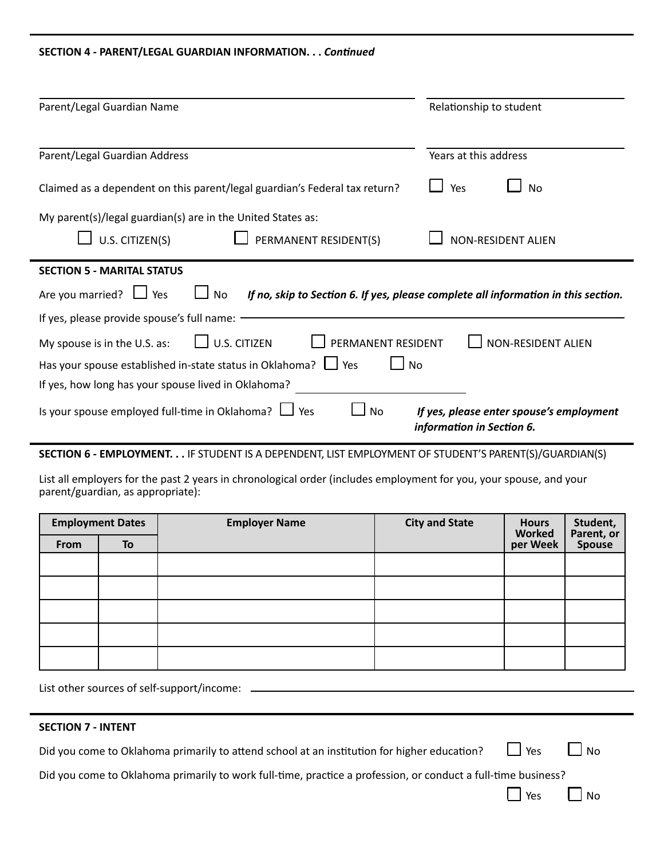## **SECTION 4 - PARENT/LEGAL GUARDIAN INFORMATION. . .** *Continued*

| Parent/Legal Guardian Name                                                                              | Relationship to student                                                            |
|---------------------------------------------------------------------------------------------------------|------------------------------------------------------------------------------------|
| Parent/Legal Guardian Address                                                                           | Years at this address                                                              |
| Claimed as a dependent on this parent/legal guardian's Federal tax return?                              | Yes<br>No                                                                          |
| My parent(s)/legal guardian(s) are in the United States as:<br>U.S. CITIZEN(S)<br>PERMANENT RESIDENT(S) | <b>NON-RESIDENT ALIEN</b>                                                          |
| <b>SECTION 5 - MARITAL STATUS</b>                                                                       |                                                                                    |
| Are you married? $\Box$ Yes<br>No                                                                       | If no, skip to Section 6. If yes, please complete all information in this section. |
| If yes, please provide spouse's full name:                                                              |                                                                                    |
| <b>U.S. CITIZEN</b><br>PERMANENT RESIDENT<br>My spouse is in the U.S. as:                               | <b>NON-RESIDENT ALIEN</b>                                                          |
| Has your spouse established in-state status in Oklahoma?   Ves<br><b>No</b>                             |                                                                                    |
| If yes, how long has your spouse lived in Oklahoma?                                                     |                                                                                    |
| Is your spouse employed full-time in Oklahoma? $\Box$ Yes<br><b>No</b>                                  | If yes, please enter spouse's employment<br>information in Section 6.              |

# **SECTION 6 - EMPLOYMENT. . .** IF STUDENT IS A DEPENDENT, LIST EMPLOYMENT OF STUDENT'S PARENT(S)/GUARDIAN(S)

List all employers for the past 2 years in chronological order (includes employment for you, your spouse, and your parent/guardian, as appropriate):

| <b>Employment Dates</b> |    | <b>Employer Name</b> | <b>City and State</b> | <b>Hours</b><br>Worked | Student,<br>Parent, or |
|-------------------------|----|----------------------|-----------------------|------------------------|------------------------|
| From                    | To |                      |                       | per Week               | Spouse                 |
|                         |    |                      |                       |                        |                        |
|                         |    |                      |                       |                        |                        |
|                         |    |                      |                       |                        |                        |
|                         |    |                      |                       |                        |                        |
|                         |    |                      |                       |                        |                        |

# List other sources of self-support/income:

# **SECTION 7 - INTENT**

Did you come to Oklahoma primarily to attend school at an institution for higher education?  $\Box$  Yes  $\Box$  No

Did you come to Oklahoma primarily to work full-time, practice a profession, or conduct a full-time business?

 $\Box$  Yes  $\Box$  No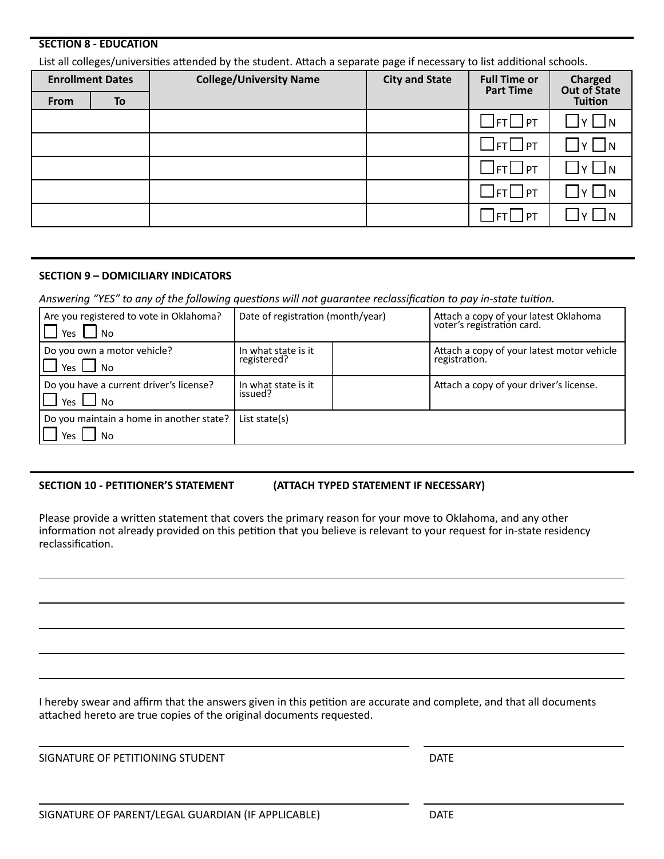## **SECTION 8 - EDUCATION**

List all colleges/universities attended by the student. Attach a separate page if necessary to list additional schools.

| <b>Enrollment Dates</b> |    | <b>College/University Name</b> | <b>City and State</b> | <b>Full Time or</b><br><b>Part Time</b>   | <b>Charged</b><br>Out of State                                |
|-------------------------|----|--------------------------------|-----------------------|-------------------------------------------|---------------------------------------------------------------|
| From                    | To |                                |                       |                                           | <b>Tuition</b>                                                |
|                         |    |                                |                       | $\square$ ft $\square$ pt                 | ly   In<br>$\mathcal{L}(\mathcal{A})$                         |
|                         |    |                                |                       | $\exists$ ft $\Box$ pt                    | $Y \bigsqcup N$<br>$\mathcal{L}(\mathcal{A})$                 |
|                         |    |                                |                       | $\Box$ ft $\Box$ pt                       | 1N<br>$\mathsf{v}$                                            |
|                         |    |                                |                       | $\mathbin{\sqcup}$ ft $\mathbin{\Box}$ pt | $\mathcal{L}(\mathcal{A})$<br>$\mathsf{v}$ $\mathsf{v}$<br>JN |
|                         |    |                                |                       | <b>JFT</b>   PT                           |                                                               |

## **SECTION 9 – DOMICILIARY INDICATORS**

*Answering "YES" to any of the following questions will not guarantee reclassification to pay in-state tuition.*

| Are you registered to vote in Oklahoma?<br>Yes $\mathsf{L}$<br>l No | Date of registration (month/year)  |  | Attach a copy of your latest Oklahoma<br>voter's registration card. |
|---------------------------------------------------------------------|------------------------------------|--|---------------------------------------------------------------------|
| Do you own a motor vehicle?<br>Yes No                               | In what state is it<br>registered? |  | Attach a copy of your latest motor vehicle<br>registration.         |
| Do you have a current driver's license?<br>$\Box$ Yes $\Box$ No     | In what state is it<br>issued?     |  | Attach a copy of your driver's license.                             |
| Do you maintain a home in another state?<br>Yes<br>l No             | List state $(s)$                   |  |                                                                     |

### **SECTION 10 - PETITIONER'S STATEMENT (ATTACH TYPED STATEMENT IF NECESSARY)**

Please provide a written statement that covers the primary reason for your move to Oklahoma, and any other information not already provided on this petition that you believe is relevant to your request for in-state residency reclassification.

I hereby swear and affirm that the answers given in this petition are accurate and complete, and that all documents attached hereto are true copies of the original documents requested.

SIGNATURE OF PETITIONING STUDENT THE SERVICE OF A SAFE SERVICE OF PETITIONING STUDENT